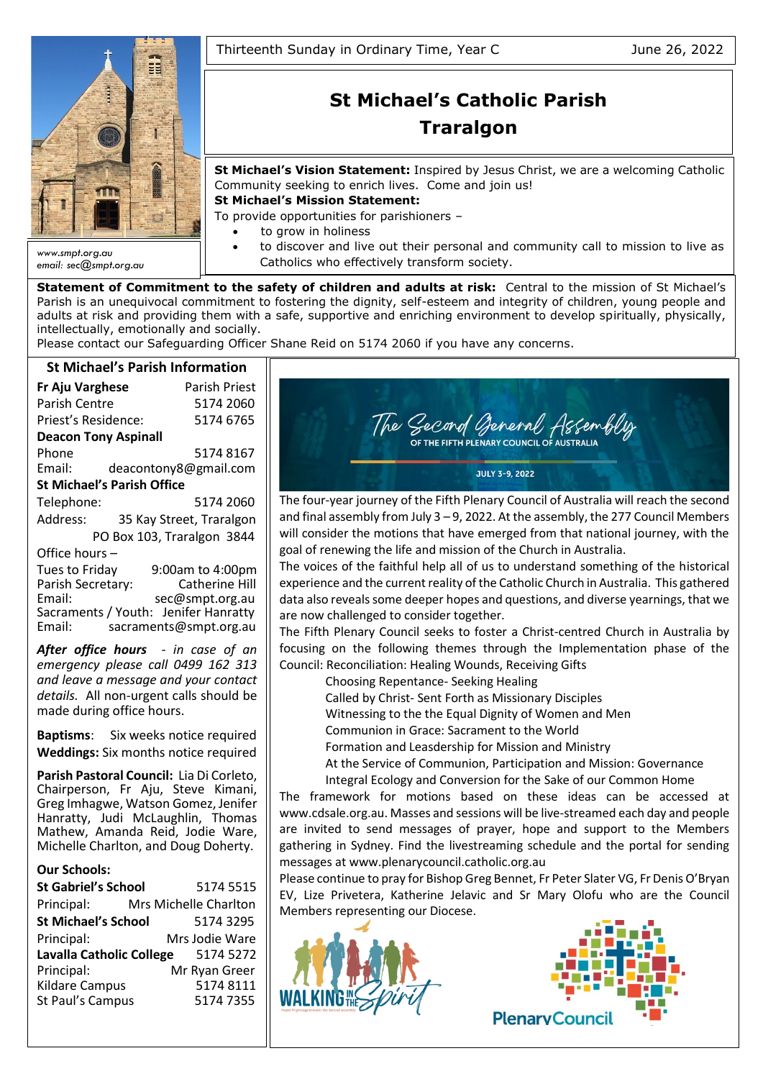

*email: sec@smpt.org.au*

# **St Michael's Catholic Parish Traralgon**

**St Michael's Vision Statement:** Inspired by Jesus Christ, we are a welcoming Catholic Community seeking to enrich lives. Come and join us!

**St Michael's Mission Statement:**

To provide opportunities for parishioners –

- to grow in holiness
- to discover and live out their personal and community call to mission to live as Catholics who effectively transform society.

**Statement of Commitment to the safety of children and adults at risk:** Central to the mission of St Michael's Parish is an unequivocal commitment to fostering the dignity, self-esteem and integrity of children, young people and adults at risk and providing them with a safe, supportive and enriching environment to develop spiritually, physically, intellectually, emotionally and socially.

Please contact our Safeguarding Officer Shane Reid on 5174 2060 if you have any concerns.

## **St Michael's Parish Information**

| St Michael's Parish Information   |                            |  |  |  |  |  |
|-----------------------------------|----------------------------|--|--|--|--|--|
| <b>Fr Aju Varghese</b>            | Parish Priest              |  |  |  |  |  |
| Parish Centre                     | 5174 2060                  |  |  |  |  |  |
| Priest's Residence:               | 5174 6765                  |  |  |  |  |  |
| <b>Deacon Tony Aspinall</b>       |                            |  |  |  |  |  |
| Phone                             | 5174 8167                  |  |  |  |  |  |
| Email:                            | deacontony8@gmail.com      |  |  |  |  |  |
| <b>St Michael's Parish Office</b> |                            |  |  |  |  |  |
| Telephone:                        | 5174 2060                  |  |  |  |  |  |
| Address:                          | 35 Kay Street, Traralgon   |  |  |  |  |  |
|                                   | PO Box 103, Traralgon 3844 |  |  |  |  |  |
| Office hours -                    |                            |  |  |  |  |  |
| Tues to Friday                    | 9:00am to 4:00pm           |  |  |  |  |  |

Parish Secretary: Catherine Hill<br>Email: sec@smpt.org.au sec@smpt.org.au Sacraments / Youth: Jenifer Hanratty<br>Email: sacraments@smpt.org.au [sacraments@smpt.org.au](mailto:sacraments@smpt.org.au)

*After office hours - in case of an emergency please call 0499 162 313 and leave a message and your contact details.* All non-urgent calls should be made during office hours.

**Baptisms**: Six weeks notice required **Weddings:** Six months notice required

**Parish Pastoral Council:** Lia Di Corleto, Chairperson, Fr Aju, Steve Kimani, Greg Imhagwe, Watson Gomez, Jenifer Hanratty, Judi McLaughlin, Thomas Mathew, Amanda Reid, Jodie Ware, Michelle Charlton, and Doug Doherty.

## **Our Schools:**

| <b>St Gabriel's School</b>      | 5174 5515             |
|---------------------------------|-----------------------|
| Principal:                      | Mrs Michelle Charlton |
| <b>St Michael's School</b>      | 5174 3295             |
| Principal:                      | Mrs Jodie Ware        |
| <b>Lavalla Catholic College</b> | 5174 5272             |
| Principal:                      | Mr Ryan Greer         |
| <b>Kildare Campus</b>           | 51748111              |
| St Paul's Campus                | 5174 7355             |



The four-year journey of the Fifth Plenary Council of Australia will reach the second and final assembly from July  $3 - 9$ , 2022. At the assembly, the 277 Council Members will consider the motions that have emerged from that national journey, with the goal of renewing the life and mission of the Church in Australia.

The voices of the faithful help all of us to understand something of the historical experience and the current reality of the Catholic Church in Australia. This gathered data also reveals some deeper hopes and questions, and diverse yearnings, that we are now challenged to consider together.

The Fifth Plenary Council seeks to foster a Christ-centred Church in Australia by focusing on the following themes through the Implementation phase of the Council: Reconciliation: Healing Wounds, Receiving Gifts

Choosing Repentance- Seeking Healing

Called by Christ- Sent Forth as Missionary Disciples

Witnessing to the the Equal Dignity of Women and Men

Communion in Grace: Sacrament to the World

Formation and Leasdership for Mission and Ministry

At the Service of Communion, Participation and Mission: Governance

Integral Ecology and Conversion for the Sake of our Common Home

The framework for motions based on these ideas can be accessed at [www.cdsale.org.au.](http://www.cdsale.org.au/) Masses and sessions will be live-streamed each day and people are invited to send messages of prayer, hope and support to the Members gathering in Sydney. Find the livestreaming schedule and the portal for sending messages a[t www.plenarycouncil.catholic.org.au](http://www.plenarycouncil.catholic.org.au/)

Please continue to pray for Bishop Greg Bennet, Fr Peter Slater VG, Fr Denis O'Bryan EV, Lize Privetera, Katherine Jelavic and Sr Mary Olofu who are the Council Members representing our Diocese.



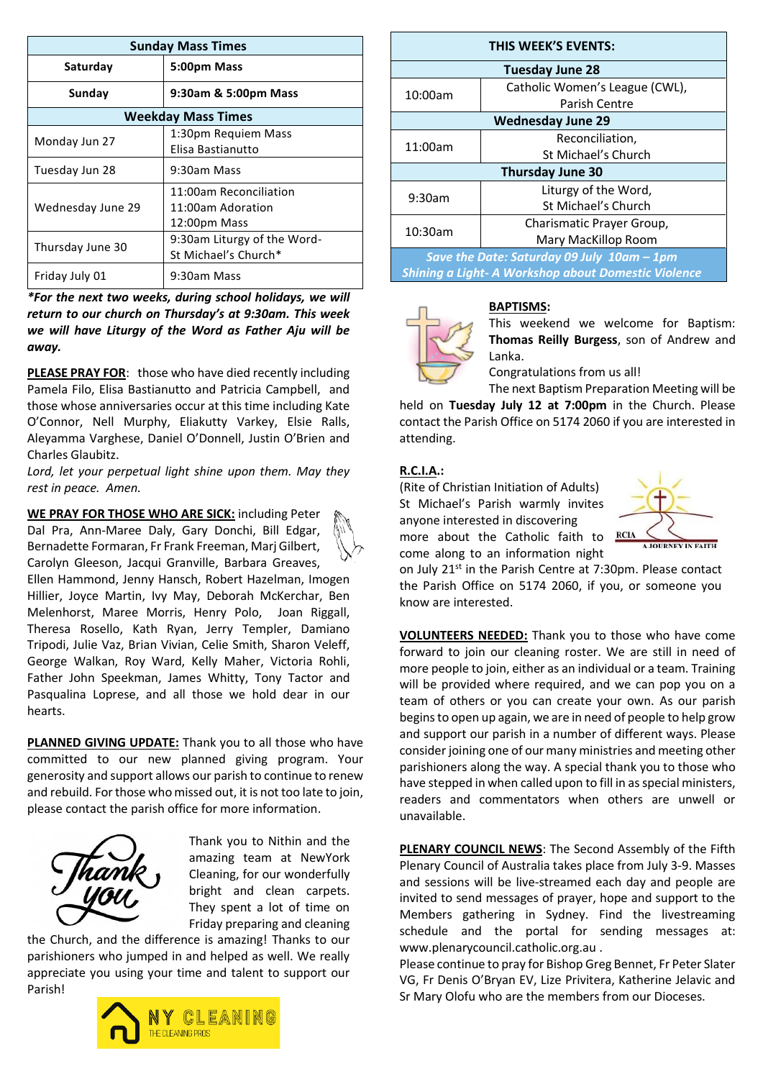| <b>Sunday Mass Times</b>  |                                                             |  |  |  |
|---------------------------|-------------------------------------------------------------|--|--|--|
| Saturday                  | 5:00pm Mass                                                 |  |  |  |
| Sunday                    | 9:30am & 5:00pm Mass                                        |  |  |  |
| <b>Weekday Mass Times</b> |                                                             |  |  |  |
| Monday Jun 27             | 1:30pm Requiem Mass<br>Elisa Bastianutto                    |  |  |  |
| Tuesday Jun 28            | 9:30am Mass                                                 |  |  |  |
| Wednesday June 29         | 11:00am Reconciliation<br>11:00am Adoration<br>12:00pm Mass |  |  |  |
| Thursday June 30          | 9:30am Liturgy of the Word-<br>St Michael's Church*         |  |  |  |
| Friday July 01            | 9:30am Mass                                                 |  |  |  |

*\*For the next two weeks, during school holidays, we will return to our church on Thursday's at 9:30am. This week we will have Liturgy of the Word as Father Aju will be away.*

**PLEASE PRAY FOR**: those who have died recently including Pamela Filo, Elisa Bastianutto and Patricia Campbell, and those whose anniversaries occur at this time including Kate O'Connor, Nell Murphy, Eliakutty Varkey, Elsie Ralls, Aleyamma Varghese, Daniel O'Donnell, Justin O'Brien and Charles Glaubitz.

*Lord, let your perpetual light shine upon them. May they rest in peace. Amen.*

**WE PRAY FOR THOSE WHO ARE SICK:** including Peter Dal Pra, Ann-Maree Daly, Gary Donchi, Bill Edgar, Bernadette Formaran, Fr Frank Freeman, Marj Gilbert, Carolyn Gleeson, Jacqui Granville, Barbara Greaves, Ellen Hammond, Jenny Hansch, Robert Hazelman, Imogen Hillier, Joyce Martin, Ivy May, Deborah McKerchar, Ben Melenhorst, Maree Morris, Henry Polo, Joan Riggall, Theresa Rosello, Kath Ryan, Jerry Templer, Damiano Tripodi, Julie Vaz, Brian Vivian, Celie Smith, Sharon Veleff, George Walkan, Roy Ward, Kelly Maher, Victoria Rohli, Father John Speekman, James Whitty, Tony Tactor and Pasqualina Loprese, and all those we hold dear in our hearts.

**PLANNED GIVING UPDATE:** Thank you to all those who have committed to our new planned giving program. Your generosity and support allows our parish to continue to renew and rebuild. For those who missed out, it is not too late to join, please contact the parish office for more information.



Thank you to Nithin and the amazing team at NewYork Cleaning, for our wonderfully bright and clean carpets. They spent a lot of time on Friday preparing and cleaning

the Church, and the difference is amazing! Thanks to our parishioners who jumped in and helped as well. We really appreciate you using your time and talent to support our Parish!



| THIS WEEK'S EVENTS:                                        |                                |  |  |  |
|------------------------------------------------------------|--------------------------------|--|--|--|
| <b>Tuesday June 28</b>                                     |                                |  |  |  |
| 10:00am                                                    | Catholic Women's League (CWL), |  |  |  |
|                                                            | Parish Centre                  |  |  |  |
| <b>Wednesday June 29</b>                                   |                                |  |  |  |
| 11:00am                                                    | Reconciliation,                |  |  |  |
|                                                            | St Michael's Church            |  |  |  |
| <b>Thursday June 30</b>                                    |                                |  |  |  |
| 9:30am                                                     | Liturgy of the Word,           |  |  |  |
|                                                            | St Michael's Church            |  |  |  |
| 10:30am                                                    | Charismatic Prayer Group,      |  |  |  |
|                                                            | Mary MacKillop Room            |  |  |  |
| Save the Date: Saturday 09 July 10am - 1pm                 |                                |  |  |  |
| <b>Shining a Light- A Workshop about Domestic Violence</b> |                                |  |  |  |

## **BAPTISMS:**



This weekend we welcome for Baptism: **Thomas Reilly Burgess**, son of Andrew and Lanka.

Congratulations from us all!

The next Baptism Preparation Meeting will be held on **Tuesday July 12 at 7:00pm** in the Church. Please contact the Parish Office on 5174 2060 if you are interested in attending.

## **R.C.I.A.:**

(Rite of Christian Initiation of Adults) St Michael's Parish warmly invites anyone interested in discovering more about the Catholic faith to



on July 21st in the Parish Centre at 7:30pm. Please contact the Parish Office on 5174 2060, if you, or someone you know are interested.

**VOLUNTEERS NEEDED:** Thank you to those who have come forward to join our cleaning roster. We are still in need of more people to join, either as an individual or a team. Training will be provided where required, and we can pop you on a team of others or you can create your own. As our parish begins to open up again, we are in need of people to help grow and support our parish in a number of different ways. Please consider joining one of our many ministries and meeting other parishioners along the way. A special thank you to those who have stepped in when called upon to fill in as special ministers, readers and commentators when others are unwell or unavailable.

**PLENARY COUNCIL NEWS**: The Second Assembly of the Fifth Plenary Council of Australia takes place from July 3-9. Masses and sessions will be live-streamed each day and people are invited to send messages of prayer, hope and support to the Members gathering in Sydney. Find the livestreaming schedule and the portal for sending messages at: [www.plenarycouncil.catholic.org.au](http://www.plenarycouncil.catholic.org.au/) .

Please continue to pray for Bishop Greg Bennet, Fr Peter Slater VG, Fr Denis O'Bryan EV, Lize Privitera, Katherine Jelavic and Sr Mary Olofu who are the members from our Dioceses.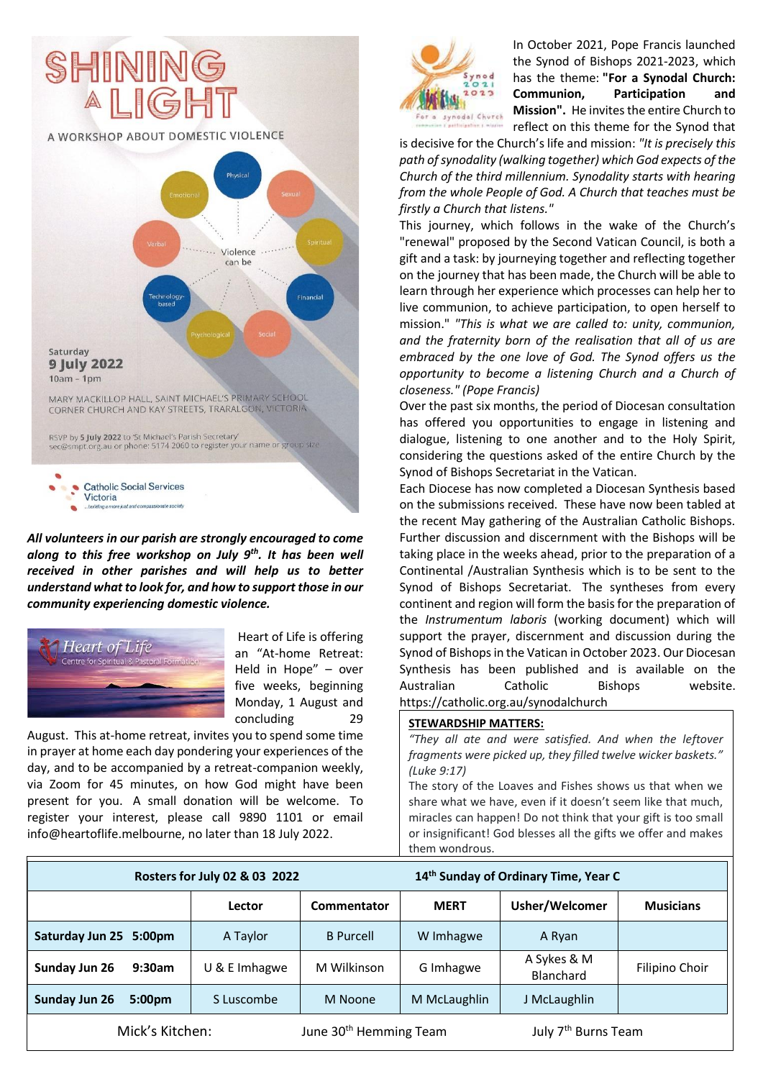

*All volunteers in our parish are strongly encouraged to come along to this free workshop on July 9th . It has been well received in other parishes and will help us to better understand what to look for, and how to support those in our community experiencing domestic violence.*



Heart of Life is offering an "At-home Retreat: Held in Hope" – over five weeks, beginning Monday, 1 August and concluding 29

August. This at-home retreat, invites you to spend some time in prayer at home each day pondering your experiences of the day, and to be accompanied by a retreat-companion weekly, via Zoom for 45 minutes, on how God might have been present for you. A small donation will be welcome. To register your interest, please call 9890 1101 or email [info@heartoflife.melbourne,](mailto:info@heartoflife.melbourne) no later than 18 July 2022.



In October 2021, Pope Francis launched the Synod of Bishops 2021-2023, which has the theme: **"For a Synodal Church: Communion, Participation and Mission".** He invites the entire Church to reflect on this theme for the Synod that

is decisive for the Church's life and mission: *"It is precisely this path of synodality (walking together) which God expects of the Church of the third millennium. Synodality starts with hearing from the whole People of God. A Church that teaches must be firstly a Church that listens."*

This journey, which follows in the wake of the Church's "renewal" proposed by the Second Vatican Council, is both a gift and a task: by journeying together and reflecting together on the journey that has been made, the Church will be able to learn through her experience which processes can help her to live communion, to achieve participation, to open herself to mission." *"This is what we are called to: unity, communion, and the fraternity born of the realisation that all of us are embraced by the one love of God. The Synod offers us the opportunity to become a listening Church and a Church of closeness." (Pope Francis)*

Over the past six months, the period of Diocesan consultation has offered you opportunities to engage in listening and dialogue, listening to one another and to the Holy Spirit, considering the questions asked of the entire Church by the Synod of Bishops Secretariat in the Vatican.

Each Diocese has now completed a Diocesan Synthesis based on the submissions received. These have now been tabled at the recent May gathering of the Australian Catholic Bishops. Further discussion and discernment with the Bishops will be taking place in the weeks ahead, prior to the preparation of a Continental /Australian Synthesis which is to be sent to the Synod of Bishops Secretariat. The syntheses from every continent and region will form the basis for the preparation of the *Instrumentum laboris* (working document) which will support the prayer, discernment and discussion during the Synod of Bishops in the Vatican in October 2023. Our Diocesan Synthesis has been published and is available on the Australian Catholic Bishops website. <https://catholic.org.au/synodalchurch>

#### **STEWARDSHIP MATTERS:**

*"They all ate and were satisfied. And when the leftover fragments were picked up, they filled twelve wicker baskets." (Luke 9:17)*

The story of the Loaves and Fishes shows us that when we share what we have, even if it doesn't seem like that much, miracles can happen! Do not think that your gift is too small or insignificant! God blesses all the gifts we offer and makes them wondrous.

| Rosters for July 02 & 03 2022         |                 | 14 <sup>th</sup> Sunday of Ordinary Time, Year C |              |                                 |                  |
|---------------------------------------|-----------------|--------------------------------------------------|--------------|---------------------------------|------------------|
|                                       | Lector          | Commentator                                      | <b>MERT</b>  | Usher/Welcomer                  | <b>Musicians</b> |
| Saturday Jun 25<br>5:00 <sub>pm</sub> | A Taylor        | <b>B</b> Purcell                                 | W Imhagwe    | A Ryan                          |                  |
| Sunday Jun 26<br>9:30am               | $U$ & E Imhagwe | M Wilkinson                                      | G Imhagwe    | A Sykes & M<br>Blanchard        | Filipino Choir   |
| Sunday Jun 26<br>5:00pm               | S Luscombe      | M Noone                                          | M McLaughlin | J McLaughlin                    |                  |
| Mick's Kitchen:                       |                 | June 30 <sup>th</sup> Hemming Team               |              | July 7 <sup>th</sup> Burns Team |                  |